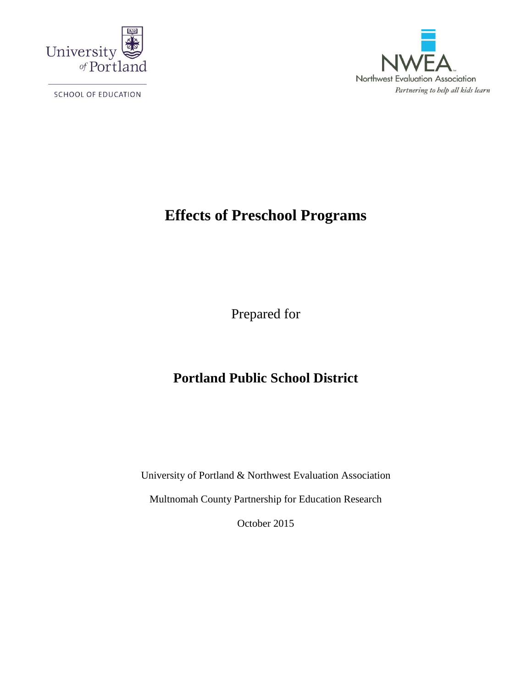

SCHOOL OF EDUCATION



# **Effects of Preschool Programs**

Prepared for

# **Portland Public School District**

University of Portland & Northwest Evaluation Association

Multnomah County Partnership for Education Research

October 2015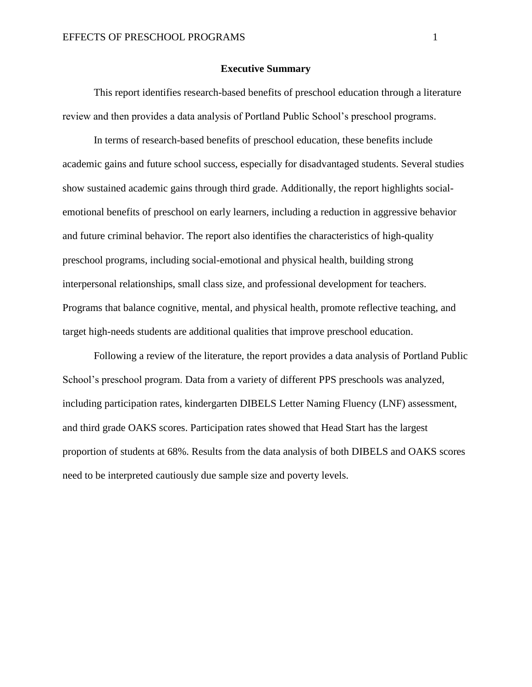### **Executive Summary**

This report identifies research-based benefits of preschool education through a literature review and then provides a data analysis of Portland Public School's preschool programs.

In terms of research-based benefits of preschool education, these benefits include academic gains and future school success, especially for disadvantaged students. Several studies show sustained academic gains through third grade. Additionally, the report highlights socialemotional benefits of preschool on early learners, including a reduction in aggressive behavior and future criminal behavior. The report also identifies the characteristics of high-quality preschool programs, including social-emotional and physical health, building strong interpersonal relationships, small class size, and professional development for teachers. Programs that balance cognitive, mental, and physical health, promote reflective teaching, and target high-needs students are additional qualities that improve preschool education.

Following a review of the literature, the report provides a data analysis of Portland Public School's preschool program. Data from a variety of different PPS preschools was analyzed, including participation rates, kindergarten DIBELS Letter Naming Fluency (LNF) assessment, and third grade OAKS scores. Participation rates showed that Head Start has the largest proportion of students at 68%. Results from the data analysis of both DIBELS and OAKS scores need to be interpreted cautiously due sample size and poverty levels.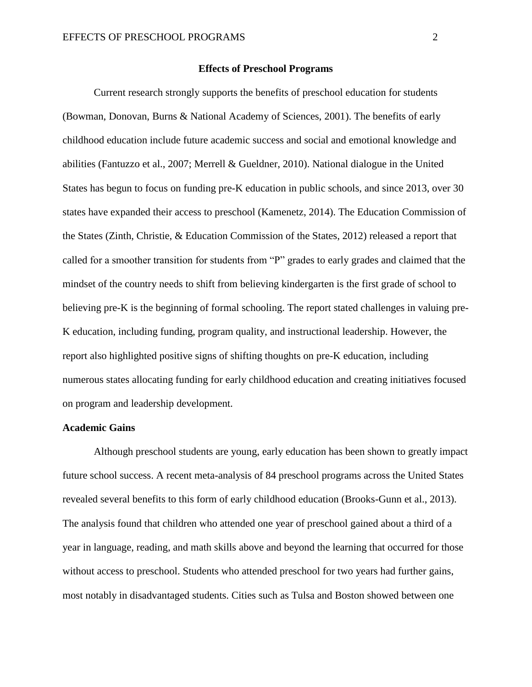### **Effects of Preschool Programs**

Current research strongly supports the benefits of preschool education for students (Bowman, Donovan, Burns & National Academy of Sciences, 2001). The benefits of early childhood education include future academic success and social and emotional knowledge and abilities (Fantuzzo et al., 2007; Merrell & Gueldner, 2010). National dialogue in the United States has begun to focus on funding pre-K education in public schools, and since 2013, over 30 states have expanded their access to preschool (Kamenetz, 2014). The Education Commission of the States (Zinth, Christie, & Education Commission of the States, 2012) released a report that called for a smoother transition for students from "P" grades to early grades and claimed that the mindset of the country needs to shift from believing kindergarten is the first grade of school to believing pre-K is the beginning of formal schooling. The report stated challenges in valuing pre-K education, including funding, program quality, and instructional leadership. However, the report also highlighted positive signs of shifting thoughts on pre-K education, including numerous states allocating funding for early childhood education and creating initiatives focused on program and leadership development.

### **Academic Gains**

Although preschool students are young, early education has been shown to greatly impact future school success. A recent meta-analysis of 84 preschool programs across the United States revealed several benefits to this form of early childhood education (Brooks-Gunn et al., 2013). The analysis found that children who attended one year of preschool gained about a third of a year in language, reading, and math skills above and beyond the learning that occurred for those without access to preschool. Students who attended preschool for two years had further gains, most notably in disadvantaged students. Cities such as Tulsa and Boston showed between one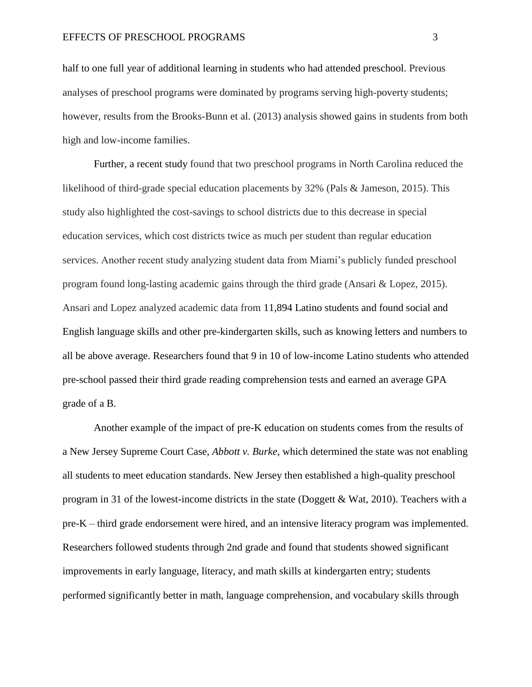half to one full year of additional learning in students who had attended preschool. Previous analyses of preschool programs were dominated by programs serving high-poverty students; however, results from the Brooks-Bunn et al. (2013) analysis showed gains in students from both high and low-income families.

Further, a recent study found that two preschool programs in North Carolina reduced the likelihood of third-grade special education placements by 32% (Pals & Jameson, 2015). This study also highlighted the cost-savings to school districts due to this decrease in special education services, which cost districts twice as much per student than regular education services. Another recent study analyzing student data from Miami's publicly funded preschool program found long-lasting academic gains through the third grade (Ansari & Lopez, 2015). Ansari and Lopez analyzed academic data from 11,894 Latino students and found social and English language skills and other pre-kindergarten skills, such as knowing letters and numbers to all be above average. Researchers found that 9 in 10 of low-income Latino students who attended pre-school passed their third grade reading comprehension tests and earned an average GPA grade of a B.

Another example of the impact of pre-K education on students comes from the results of a New Jersey Supreme Court Case, *Abbott v. Burke*, which determined the state was not enabling all students to meet education standards. New Jersey then established a high-quality preschool program in 31 of the lowest-income districts in the state (Doggett & Wat, 2010). Teachers with a pre-K – third grade endorsement were hired, and an intensive literacy program was implemented. Researchers followed students through 2nd grade and found that students showed significant improvements in early language, literacy, and math skills at kindergarten entry; students performed significantly better in math, language comprehension, and vocabulary skills through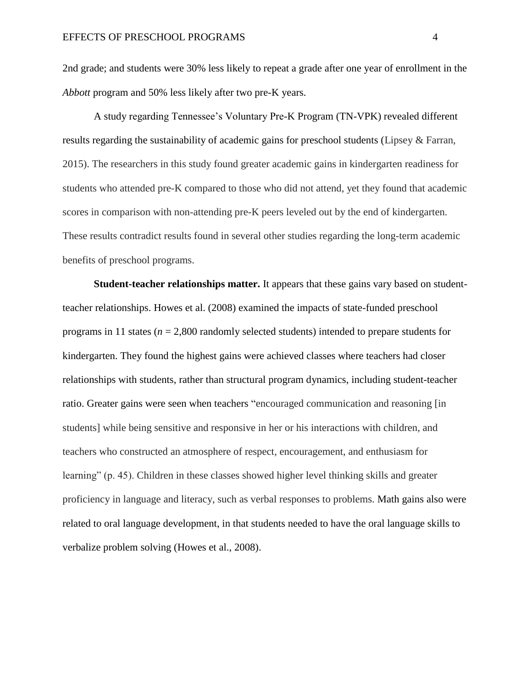2nd grade; and students were 30% less likely to repeat a grade after one year of enrollment in the *Abbott* program and 50% less likely after two pre-K years.

A study regarding Tennessee's Voluntary Pre-K Program (TN-VPK) revealed different results regarding the sustainability of academic gains for preschool students (Lipsey & Farran, 2015). The researchers in this study found greater academic gains in kindergarten readiness for students who attended pre-K compared to those who did not attend, yet they found that academic scores in comparison with non-attending pre-K peers leveled out by the end of kindergarten. These results contradict results found in several other studies regarding the long-term academic benefits of preschool programs.

**Student-teacher relationships matter.** It appears that these gains vary based on studentteacher relationships. Howes et al. (2008) examined the impacts of state-funded preschool programs in 11 states (*n* = 2,800 randomly selected students) intended to prepare students for kindergarten. They found the highest gains were achieved classes where teachers had closer relationships with students, rather than structural program dynamics, including student-teacher ratio. Greater gains were seen when teachers "encouraged communication and reasoning [in students] while being sensitive and responsive in her or his interactions with children, and teachers who constructed an atmosphere of respect, encouragement, and enthusiasm for learning" (p. 45). Children in these classes showed higher level thinking skills and greater proficiency in language and literacy, such as verbal responses to problems. Math gains also were related to oral language development, in that students needed to have the oral language skills to verbalize problem solving (Howes et al., 2008).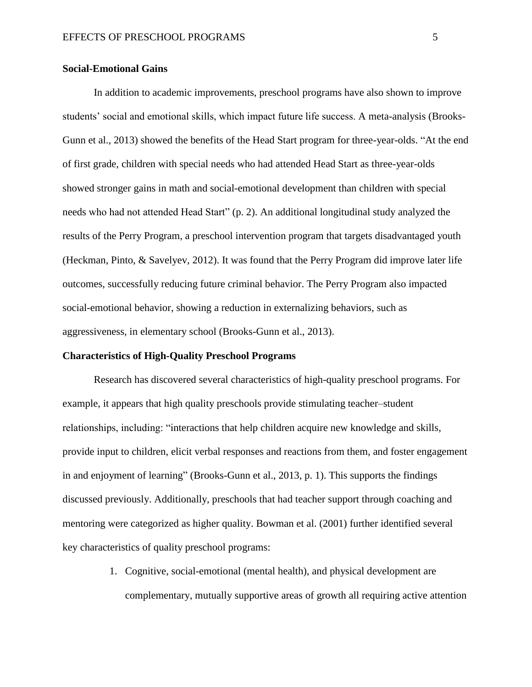# **Social-Emotional Gains**

In addition to academic improvements, preschool programs have also shown to improve students' social and emotional skills, which impact future life success. A meta-analysis (Brooks-Gunn et al., 2013) showed the benefits of the Head Start program for three-year-olds. "At the end of first grade, children with special needs who had attended Head Start as three-year-olds showed stronger gains in math and social-emotional development than children with special needs who had not attended Head Start" (p. 2). An additional longitudinal study analyzed the results of the Perry Program, a preschool intervention program that targets disadvantaged youth (Heckman, Pinto, & Savelyev, 2012). It was found that the Perry Program did improve later life outcomes, successfully reducing future criminal behavior. The Perry Program also impacted social-emotional behavior, showing a reduction in externalizing behaviors, such as aggressiveness, in elementary school (Brooks-Gunn et al., 2013).

#### **Characteristics of High-Quality Preschool Programs**

Research has discovered several characteristics of high-quality preschool programs. For example, it appears that high quality preschools provide stimulating teacher–student relationships, including: "interactions that help children acquire new knowledge and skills, provide input to children, elicit verbal responses and reactions from them, and foster engagement in and enjoyment of learning" (Brooks-Gunn et al., 2013, p. 1). This supports the findings discussed previously. Additionally, preschools that had teacher support through coaching and mentoring were categorized as higher quality. Bowman et al. (2001) further identified several key characteristics of quality preschool programs:

> 1. Cognitive, social-emotional (mental health), and physical development are complementary, mutually supportive areas of growth all requiring active attention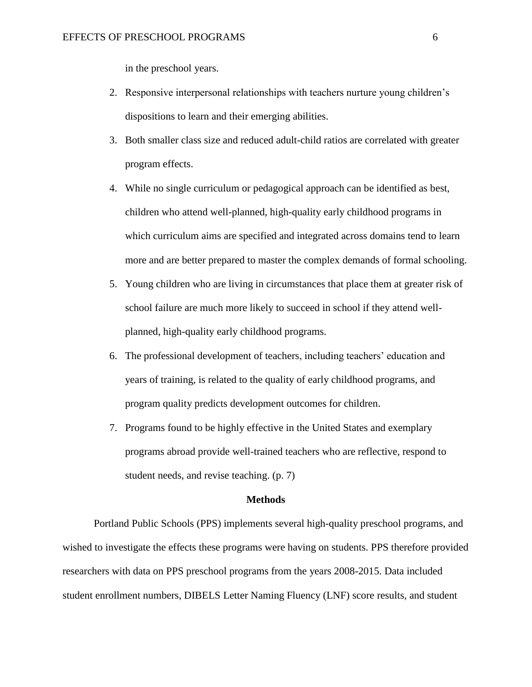in the preschool years.

- 2. Responsive interpersonal relationships with teachers nurture young children's dispositions to learn and their emerging abilities.
- 3. Both smaller class size and reduced adult-child ratios are correlated with greater program effects.
- 4. While no single curriculum or pedagogical approach can be identified as best, children who attend well-planned, high-quality early childhood programs in which curriculum aims are specified and integrated across domains tend to learn more and are better prepared to master the complex demands of formal schooling.
- 5. Young children who are living in circumstances that place them at greater risk of school failure are much more likely to succeed in school if they attend wellplanned, high-quality early childhood programs.
- 6. The professional development of teachers, including teachers' education and years of training, is related to the quality of early childhood programs, and program quality predicts development outcomes for children.
- 7. Programs found to be highly effective in the United States and exemplary programs abroad provide well-trained teachers who are reflective, respond to student needs, and revise teaching. (p. 7)

#### **Methods**

Portland Public Schools (PPS) implements several high-quality preschool programs, and wished to investigate the effects these programs were having on students. PPS therefore provided researchers with data on PPS preschool programs from the years 2008-2015. Data included student enrollment numbers, DIBELS Letter Naming Fluency (LNF) score results, and student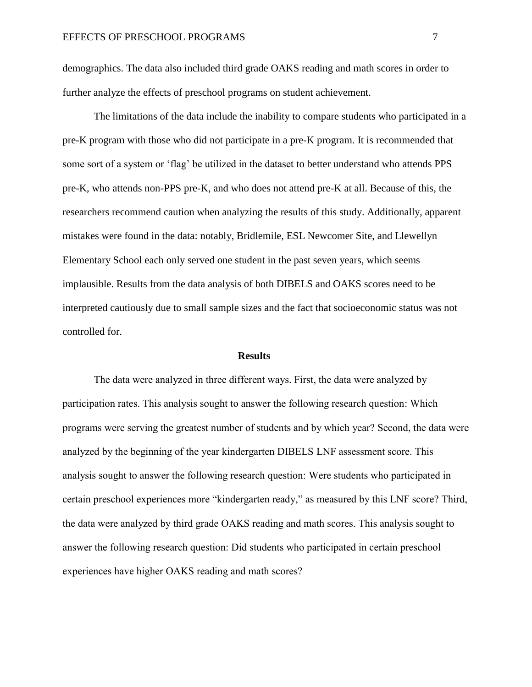demographics. The data also included third grade OAKS reading and math scores in order to further analyze the effects of preschool programs on student achievement.

The limitations of the data include the inability to compare students who participated in a pre-K program with those who did not participate in a pre-K program. It is recommended that some sort of a system or 'flag' be utilized in the dataset to better understand who attends PPS pre-K, who attends non-PPS pre-K, and who does not attend pre-K at all. Because of this, the researchers recommend caution when analyzing the results of this study. Additionally, apparent mistakes were found in the data: notably, Bridlemile, ESL Newcomer Site, and Llewellyn Elementary School each only served one student in the past seven years, which seems implausible. Results from the data analysis of both DIBELS and OAKS scores need to be interpreted cautiously due to small sample sizes and the fact that socioeconomic status was not controlled for.

### **Results**

The data were analyzed in three different ways. First, the data were analyzed by participation rates. This analysis sought to answer the following research question: Which programs were serving the greatest number of students and by which year? Second, the data were analyzed by the beginning of the year kindergarten DIBELS LNF assessment score. This analysis sought to answer the following research question: Were students who participated in certain preschool experiences more "kindergarten ready," as measured by this LNF score? Third, the data were analyzed by third grade OAKS reading and math scores. This analysis sought to answer the following research question: Did students who participated in certain preschool experiences have higher OAKS reading and math scores?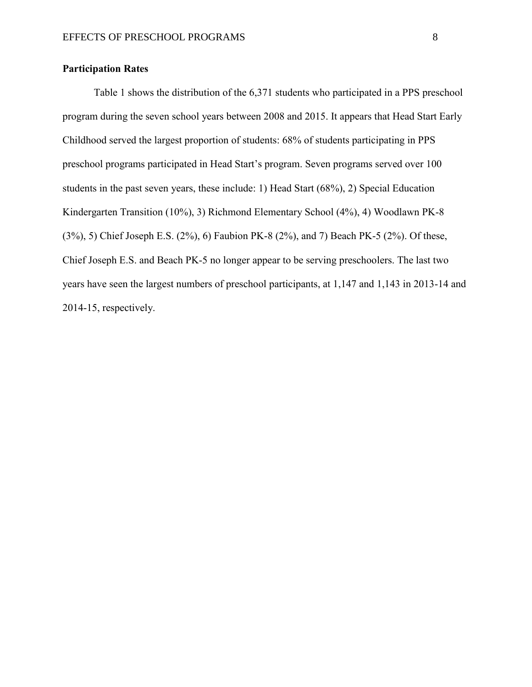# **Participation Rates**

Table 1 shows the distribution of the 6,371 students who participated in a PPS preschool program during the seven school years between 2008 and 2015. It appears that Head Start Early Childhood served the largest proportion of students: 68% of students participating in PPS preschool programs participated in Head Start's program. Seven programs served over 100 students in the past seven years, these include: 1) Head Start (68%), 2) Special Education Kindergarten Transition (10%), 3) Richmond Elementary School (4%), 4) Woodlawn PK-8 (3%), 5) Chief Joseph E.S. (2%), 6) Faubion PK-8 (2%), and 7) Beach PK-5 (2%). Of these, Chief Joseph E.S. and Beach PK-5 no longer appear to be serving preschoolers. The last two years have seen the largest numbers of preschool participants, at 1,147 and 1,143 in 2013-14 and 2014-15, respectively.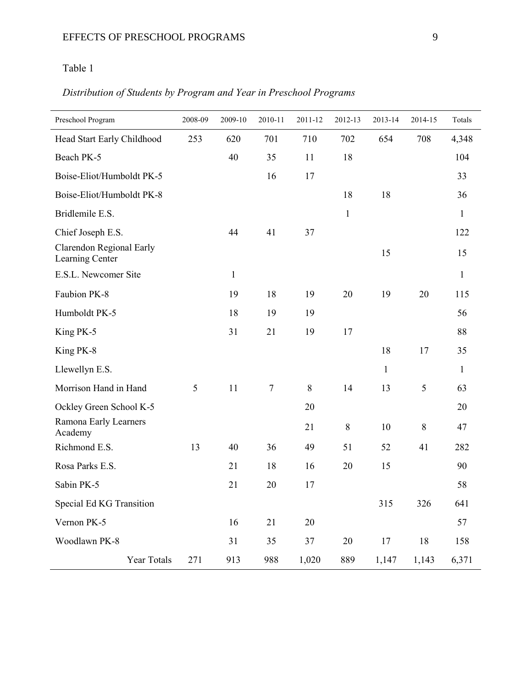# Table 1

# *Distribution of Students by Program and Year in Preschool Programs*

| Preschool Program                           | 2008-09 | 2009-10      | 2010-11 | 2011-12 | 2012-13      | 2013-14      | 2014-15 | Totals       |
|---------------------------------------------|---------|--------------|---------|---------|--------------|--------------|---------|--------------|
| Head Start Early Childhood                  | 253     | 620          | 701     | 710     | 702          | 654          | 708     | 4,348        |
| Beach PK-5                                  |         | 40           | 35      | 11      | 18           |              |         | 104          |
| Boise-Eliot/Humboldt PK-5                   |         |              | 16      | 17      |              |              |         | 33           |
| Boise-Eliot/Humboldt PK-8                   |         |              |         |         | 18           | 18           |         | 36           |
| Bridlemile E.S.                             |         |              |         |         | $\mathbf{1}$ |              |         | $\mathbf{1}$ |
| Chief Joseph E.S.                           |         | 44           | 41      | 37      |              |              |         | 122          |
| Clarendon Regional Early<br>Learning Center |         |              |         |         |              | 15           |         | 15           |
| E.S.L. Newcomer Site                        |         | $\mathbf{1}$ |         |         |              |              |         | $\mathbf{1}$ |
| Faubion PK-8                                |         | 19           | 18      | 19      | 20           | 19           | 20      | 115          |
| Humboldt PK-5                               |         | 18           | 19      | 19      |              |              |         | 56           |
| King PK-5                                   |         | 31           | 21      | 19      | 17           |              |         | 88           |
| King PK-8                                   |         |              |         |         |              | 18           | 17      | 35           |
| Llewellyn E.S.                              |         |              |         |         |              | $\mathbf{1}$ |         | $\mathbf{1}$ |
| Morrison Hand in Hand                       | 5       | 11           | 7       | $\,8\,$ | 14           | 13           | 5       | 63           |
| Ockley Green School K-5                     |         |              |         | 20      |              |              |         | 20           |
| Ramona Early Learners<br>Academy            |         |              |         | 21      | $\,8\,$      | 10           | $\, 8$  | 47           |
| Richmond E.S.                               | 13      | 40           | 36      | 49      | 51           | 52           | 41      | 282          |
| Rosa Parks E.S.                             |         | 21           | 18      | 16      | 20           | 15           |         | 90           |
| Sabin PK-5                                  |         | 21           | 20      | 17      |              |              |         | 58           |
| Special Ed KG Transition                    |         |              |         |         |              | 315          | 326     | 641          |
| Vernon PK-5                                 |         | 16           | 21      | 20      |              |              |         | 57           |
| Woodlawn PK-8                               |         | 31           | 35      | 37      | $20\,$       | 17           | 18      | 158          |
| Year Totals                                 | 271     | 913          | 988     | 1,020   | 889          | 1,147        | 1,143   | 6,371        |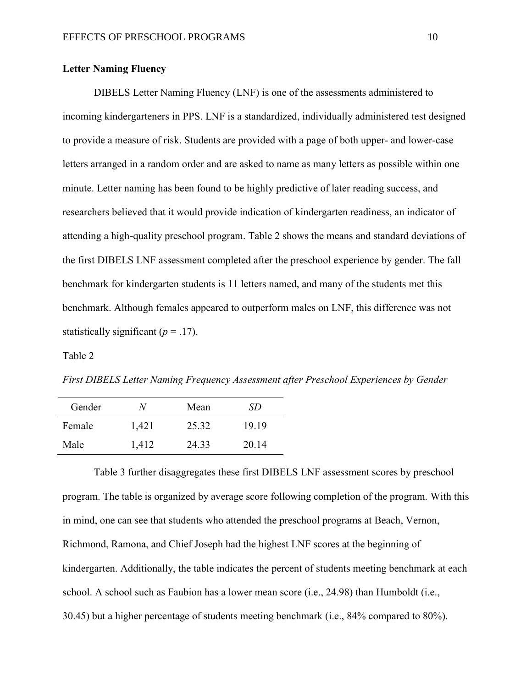# **Letter Naming Fluency**

DIBELS Letter Naming Fluency (LNF) is one of the assessments administered to incoming kindergarteners in PPS. LNF is a standardized, individually administered test designed to provide a measure of risk. Students are provided with a page of both upper- and lower-case letters arranged in a random order and are asked to name as many letters as possible within one minute. Letter naming has been found to be highly predictive of later reading success, and researchers believed that it would provide indication of kindergarten readiness, an indicator of attending a high-quality preschool program. Table 2 shows the means and standard deviations of the first DIBELS LNF assessment completed after the preschool experience by gender. The fall benchmark for kindergarten students is 11 letters named, and many of the students met this benchmark. Although females appeared to outperform males on LNF, this difference was not statistically significant  $(p = .17)$ .

Table 2

*First DIBELS Letter Naming Frequency Assessment after Preschool Experiences by Gender*

| Gender | N     | Mean  | SD.   |
|--------|-------|-------|-------|
| Female | 1,421 | 25.32 | 19 19 |
| Male   | 1,412 | 24.33 | 20.14 |

Table 3 further disaggregates these first DIBELS LNF assessment scores by preschool program. The table is organized by average score following completion of the program. With this in mind, one can see that students who attended the preschool programs at Beach, Vernon, Richmond, Ramona, and Chief Joseph had the highest LNF scores at the beginning of kindergarten. Additionally, the table indicates the percent of students meeting benchmark at each school. A school such as Faubion has a lower mean score (i.e., 24.98) than Humboldt (i.e., 30.45) but a higher percentage of students meeting benchmark (i.e., 84% compared to 80%).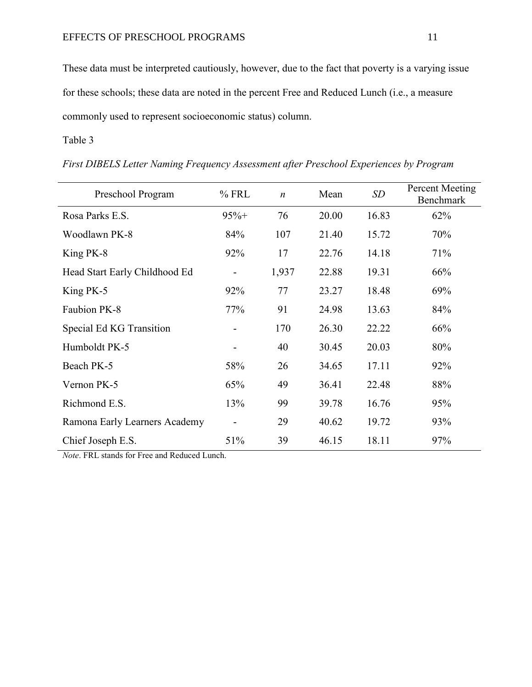These data must be interpreted cautiously, however, due to the fact that poverty is a varying issue for these schools; these data are noted in the percent Free and Reduced Lunch (i.e., a measure commonly used to represent socioeconomic status) column.

# Table 3

| Preschool Program             | $%$ FRL | $\boldsymbol{n}$ | Mean  | SD    | Percent Meeting<br><b>Benchmark</b> |
|-------------------------------|---------|------------------|-------|-------|-------------------------------------|
| Rosa Parks E.S.               | $95%+$  | 76               | 20.00 | 16.83 | 62%                                 |
| Woodlawn PK-8                 | 84%     | 107              | 21.40 | 15.72 | 70%                                 |
| King PK-8                     | 92%     | 17               | 22.76 | 14.18 | 71%                                 |
| Head Start Early Childhood Ed | -       | 1,937            | 22.88 | 19.31 | 66%                                 |
| King PK-5                     | 92%     | 77               | 23.27 | 18.48 | 69%                                 |
| Faubion PK-8                  | 77%     | 91               | 24.98 | 13.63 | 84%                                 |
| Special Ed KG Transition      |         | 170              | 26.30 | 22.22 | 66%                                 |
| Humboldt PK-5                 |         | 40               | 30.45 | 20.03 | 80%                                 |
| Beach PK-5                    | 58%     | 26               | 34.65 | 17.11 | 92%                                 |
| Vernon PK-5                   | 65%     | 49               | 36.41 | 22.48 | 88%                                 |
| Richmond E.S.                 | 13%     | 99               | 39.78 | 16.76 | 95%                                 |
| Ramona Early Learners Academy |         | 29               | 40.62 | 19.72 | 93%                                 |
| Chief Joseph E.S.             | 51%     | 39               | 46.15 | 18.11 | 97%                                 |

*First DIBELS Letter Naming Frequency Assessment after Preschool Experiences by Program*

*Note*. FRL stands for Free and Reduced Lunch.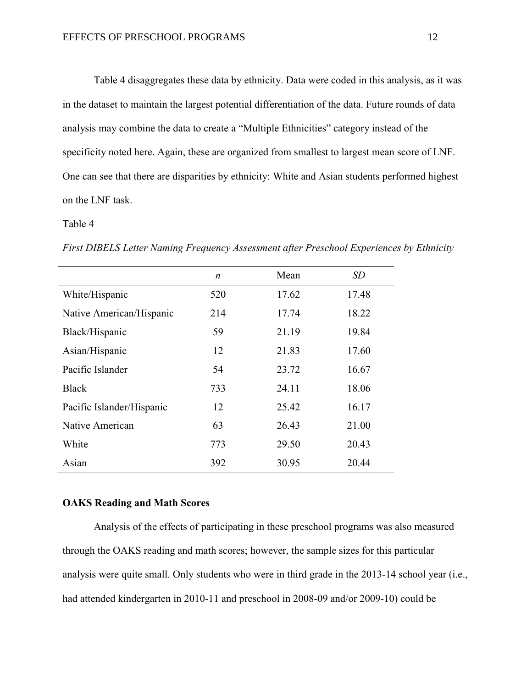Table 4 disaggregates these data by ethnicity. Data were coded in this analysis, as it was in the dataset to maintain the largest potential differentiation of the data. Future rounds of data analysis may combine the data to create a "Multiple Ethnicities" category instead of the specificity noted here. Again, these are organized from smallest to largest mean score of LNF. One can see that there are disparities by ethnicity: White and Asian students performed highest on the LNF task.

### Table 4

|                           | $\boldsymbol{n}$ | Mean  | SD    |
|---------------------------|------------------|-------|-------|
| White/Hispanic            | 520              | 17.62 | 17.48 |
| Native American/Hispanic  | 214              | 17.74 | 18.22 |
| Black/Hispanic            | 59               | 21.19 | 19.84 |
| Asian/Hispanic            | 12               | 21.83 | 17.60 |
| Pacific Islander          | 54               | 23.72 | 16.67 |
| <b>Black</b>              | 733              | 24.11 | 18.06 |
| Pacific Islander/Hispanic | 12               | 25.42 | 16.17 |
| Native American           | 63               | 26.43 | 21.00 |
| White                     | 773              | 29.50 | 20.43 |
| Asian                     | 392              | 30.95 | 20.44 |

*First DIBELS Letter Naming Frequency Assessment after Preschool Experiences by Ethnicity*

# **OAKS Reading and Math Scores**

Analysis of the effects of participating in these preschool programs was also measured through the OAKS reading and math scores; however, the sample sizes for this particular analysis were quite small. Only students who were in third grade in the 2013-14 school year (i.e., had attended kindergarten in 2010-11 and preschool in 2008-09 and/or 2009-10) could be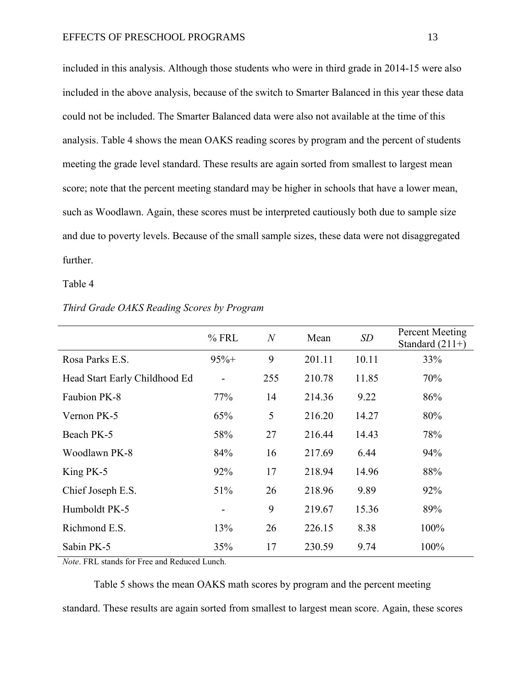included in this analysis. Although those students who were in third grade in 2014-15 were also included in the above analysis, because of the switch to Smarter Balanced in this year these data could not be included. The Smarter Balanced data were also not available at the time of this analysis. Table 4 shows the mean OAKS reading scores by program and the percent of students meeting the grade level standard. These results are again sorted from smallest to largest mean score; note that the percent meeting standard may be higher in schools that have a lower mean, such as Woodlawn. Again, these scores must be interpreted cautiously both due to sample size and due to poverty levels. Because of the small sample sizes, these data were not disaggregated further.

Table 4

|                               | $%$ FRL                      | $\overline{N}$ | Mean   | SD    | Percent Meeting<br>Standard $(211+)$ |
|-------------------------------|------------------------------|----------------|--------|-------|--------------------------------------|
| Rosa Parks E.S.               | $95%+$                       | 9              | 201.11 | 10.11 | 33%                                  |
| Head Start Early Childhood Ed | $\qquad \qquad \blacksquare$ | 255            | 210.78 | 11.85 | 70%                                  |
| Faubion PK-8                  | 77%                          | 14             | 214.36 | 9.22  | 86%                                  |
| Vernon PK-5                   | 65%                          | 5              | 216.20 | 14.27 | 80%                                  |
| Beach PK-5                    | 58%                          | 27             | 216.44 | 14.43 | 78%                                  |
| Woodlawn PK-8                 | 84%                          | 16             | 217.69 | 6.44  | 94%                                  |
| King PK-5                     | 92%                          | 17             | 218.94 | 14.96 | 88%                                  |
| Chief Joseph E.S.             | 51%                          | 26             | 218.96 | 9.89  | 92%                                  |
| Humboldt PK-5                 | $\overline{\phantom{0}}$     | 9              | 219.67 | 15.36 | 89%                                  |
| Richmond E.S.                 | 13%                          | 26             | 226.15 | 8.38  | 100%                                 |
| Sabin PK-5                    | 35%                          | 17             | 230.59 | 9.74  | 100%                                 |

### *Third Grade OAKS Reading Scores by Program*

*Note*. FRL stands for Free and Reduced Lunch.

Table 5 shows the mean OAKS math scores by program and the percent meeting standard. These results are again sorted from smallest to largest mean score. Again, these scores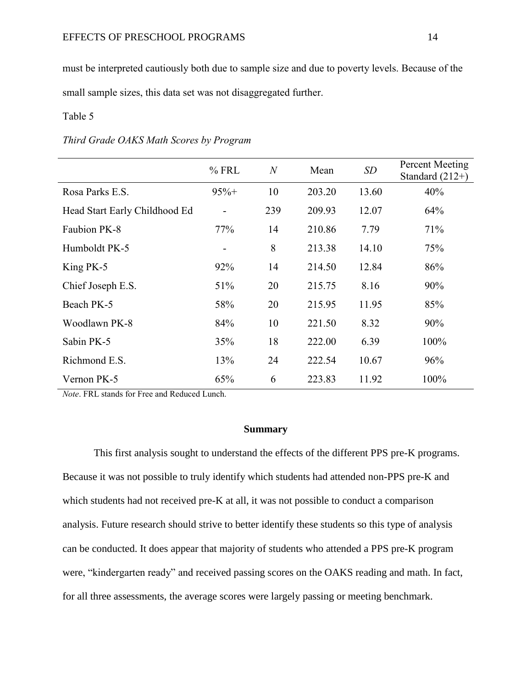must be interpreted cautiously both due to sample size and due to poverty levels. Because of the small sample sizes, this data set was not disaggregated further.

# Table 5

|  |  |  |  |  |  | Third Grade OAKS Math Scores by Program |
|--|--|--|--|--|--|-----------------------------------------|
|--|--|--|--|--|--|-----------------------------------------|

|                               | $%$ FRL                      | $\overline{N}$ | Mean   | SD    | Percent Meeting<br>Standard $(212+)$ |
|-------------------------------|------------------------------|----------------|--------|-------|--------------------------------------|
| Rosa Parks E.S.               | $95%+$                       | 10             | 203.20 | 13.60 | 40%                                  |
| Head Start Early Childhood Ed | $\qquad \qquad \blacksquare$ | 239            | 209.93 | 12.07 | 64%                                  |
| Faubion PK-8                  | 77%                          | 14             | 210.86 | 7.79  | 71%                                  |
| Humboldt PK-5                 | $\qquad \qquad \blacksquare$ | 8              | 213.38 | 14.10 | 75%                                  |
| King PK-5                     | 92%                          | 14             | 214.50 | 12.84 | 86%                                  |
| Chief Joseph E.S.             | 51%                          | 20             | 215.75 | 8.16  | 90%                                  |
| Beach PK-5                    | 58%                          | 20             | 215.95 | 11.95 | 85%                                  |
| Woodlawn PK-8                 | 84%                          | 10             | 221.50 | 8.32  | 90%                                  |
| Sabin PK-5                    | 35%                          | 18             | 222.00 | 6.39  | 100%                                 |
| Richmond E.S.                 | 13%                          | 24             | 222.54 | 10.67 | 96%                                  |
| Vernon PK-5                   | 65%                          | 6              | 223.83 | 11.92 | 100%                                 |

*Note*. FRL stands for Free and Reduced Lunch.

# **Summary**

This first analysis sought to understand the effects of the different PPS pre-K programs. Because it was not possible to truly identify which students had attended non-PPS pre-K and which students had not received pre-K at all, it was not possible to conduct a comparison analysis. Future research should strive to better identify these students so this type of analysis can be conducted. It does appear that majority of students who attended a PPS pre-K program were, "kindergarten ready" and received passing scores on the OAKS reading and math. In fact, for all three assessments, the average scores were largely passing or meeting benchmark.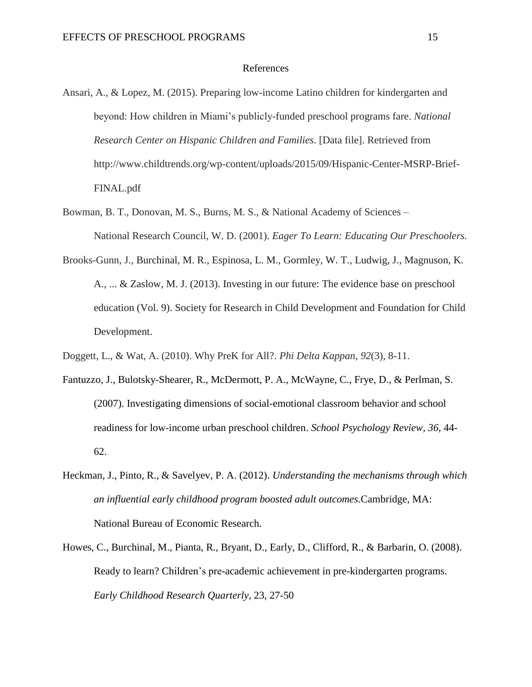#### References

- Ansari, A., & Lopez, M. (2015). Preparing low-income Latino children for kindergarten and beyond: How children in Miami's publicly-funded preschool programs fare. *National Research Center on Hispanic Children and Families*. [Data file]. Retrieved from http://www.childtrends.org/wp-content/uploads/2015/09/Hispanic-Center-MSRP-Brief-FINAL.pdf
- Bowman, B. T., Donovan, M. S., Burns, M. S., & National Academy of Sciences National Research Council, W. D. (2001). *Eager To Learn: Educating Our Preschoolers.*
- Brooks-Gunn, J., Burchinal, M. R., Espinosa, L. M., Gormley, W. T., Ludwig, J., Magnuson, K. A., ... & Zaslow, M. J. (2013). Investing in our future: The evidence base on preschool education (Vol. 9). Society for Research in Child Development and Foundation for Child Development.
- Doggett, L., & Wat, A. (2010). Why PreK for All?. *Phi Delta Kappan*, *92*(3), 8-11.
- Fantuzzo, J., Bulotsky-Shearer, R., McDermott, P. A., McWayne, C., Frye, D., & Perlman, S. (2007). Investigating dimensions of social-emotional classroom behavior and school readiness for low-income urban preschool children. *School Psychology Review, 36,* 44- 62.
- Heckman, J., Pinto, R., & Savelyev, P. A. (2012). *Understanding the mechanisms through which an influential early childhood program boosted adult outcomes.*Cambridge, MA: National Bureau of Economic Research.
- Howes, C., Burchinal, M., Pianta, R., Bryant, D., Early, D., Clifford, R., & Barbarin, O. (2008). Ready to learn? Children's pre-academic achievement in pre-kindergarten programs. *Early Childhood Research Quarterly*, 23, 27-50